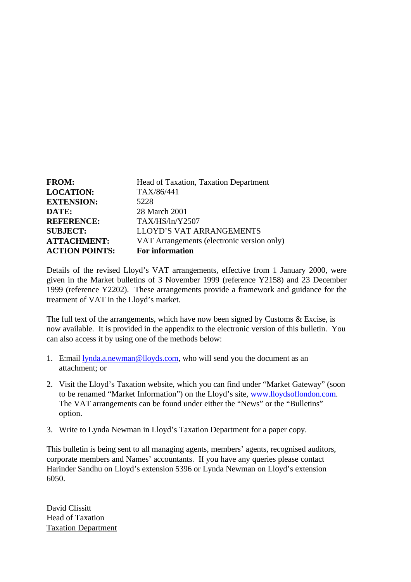| <b>FROM:</b>          | Head of Taxation, Taxation Department      |
|-----------------------|--------------------------------------------|
| <b>LOCATION:</b>      | TAX/86/441                                 |
| <b>EXTENSION:</b>     | 5228                                       |
| DATE:                 | 28 March 2001                              |
| <b>REFERENCE:</b>     | TAX/HS/In/Y2507                            |
| <b>SUBJECT:</b>       | <b>LLOYD'S VAT ARRANGEMENTS</b>            |
| <b>ATTACHMENT:</b>    | VAT Arrangements (electronic version only) |
| <b>ACTION POINTS:</b> | <b>For information</b>                     |

Details of the revised Lloyd's VAT arrangements, effective from 1 January 2000, were given in the Market bulletins of 3 November 1999 (reference Y2158) and 23 December 1999 (reference Y2202). These arrangements provide a framework and guidance for the treatment of VAT in the Lloyd's market.

The full text of the arrangements, which have now been signed by Customs & Excise, is now available. It is provided in the appendix to the electronic version of this bulletin. You can also access it by using one of the methods below:

- 1. E:mail **lynda.a.newman@lloyds.com**, who will send you the document as an attachment; or
- 2. Visit the Lloyd's Taxation website, which you can find under "Market Gateway" (soon to be renamed "Market Information") on the Lloyd's site, www.lloydsoflondon.com. The VAT arrangements can be found under either the "News" or the "Bulletins" option.
- 3. Write to Lynda Newman in Lloyd's Taxation Department for a paper copy.

This bulletin is being sent to all managing agents, members' agents, recognised auditors, corporate members and Names' accountants. If you have any queries please contact Harinder Sandhu on Lloyd's extension 5396 or Lynda Newman on Lloyd's extension 6050.

David Clissitt Head of Taxation Taxation Department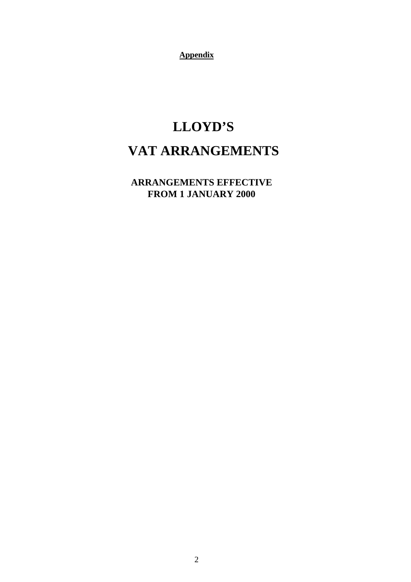**Appendix**

# **LLOYD'S VAT ARRANGEMENTS**

 **ARRANGEMENTS EFFECTIVE FROM 1 JANUARY 2000**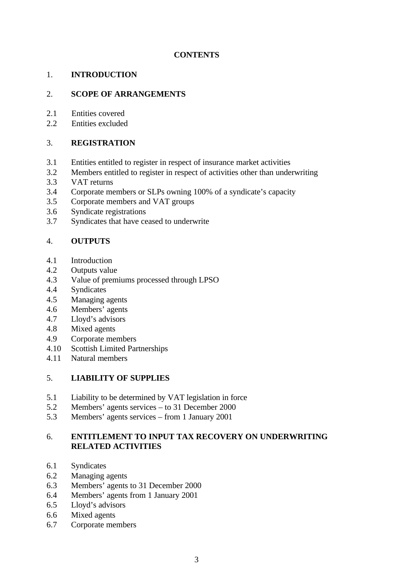# **CONTENTS**

# 1. **INTRODUCTION**

# 2. **SCOPE OF ARRANGEMENTS**

- 2.1 Entities covered
- 2.2 Entities excluded

## 3. **REGISTRATION**

- 3.1 Entities entitled to register in respect of insurance market activities
- 3.2 Members entitled to register in respect of activities other than underwriting
- 3.3 VAT returns
- 3.4 Corporate members or SLPs owning 100% of a syndicate's capacity<br>3.5 Corporate members and VAT groups
- 3.5 Corporate members and VAT groups
- 3.6 Syndicate registrations
- 3.7 Syndicates that have ceased to underwrite

# 4. **OUTPUTS**

- 4.1 Introduction
- 4.2 Outputs value
- 4.3 Value of premiums processed through LPSO
- 4.4 Syndicates
- 4.5 Managing agents
- 4.6 Members' agents
- 4.7 Lloyd's advisors
- 4.8 Mixed agents
- 4.9 Corporate members
- 4.10 Scottish Limited Partnerships
- 4.11 Natural members

# 5. **LIABILITY OF SUPPLIES**

- 5.1 Liability to be determined by VAT legislation in force
- 5.2 Members' agents services to 31 December 2000
- 5.3 Members' agents services from 1 January 2001

# 6. **ENTITLEMENT TO INPUT TAX RECOVERY ON UNDERWRITING RELATED ACTIVITIES**

- 6.1 Syndicates
- 6.2 Managing agents
- 6.3 Members' agents to 31 December 2000
- 6.4 Members' agents from 1 January 2001
- 6.5 Lloyd's advisors
- 6.6 Mixed agents
- 6.7 Corporate members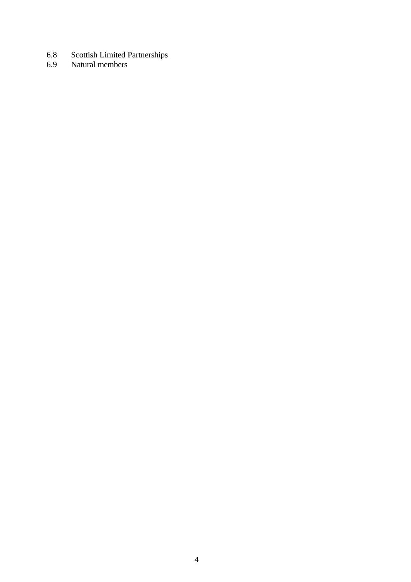- 6.8 Scottish Limited Partnerships
- 6.9 Natural members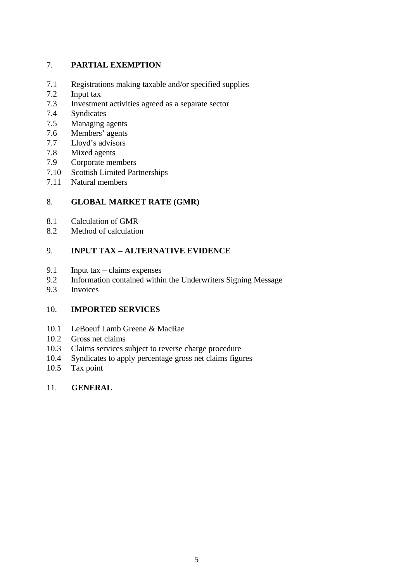# 7. **PARTIAL EXEMPTION**

- 7.1 Registrations making taxable and/or specified supplies
- 7.2 Input tax
- 7.3 Investment activities agreed as a separate sector
- 7.4 Syndicates
- 7.5 Managing agents
- 7.6 Members' agents
- 7.7 Lloyd's advisors
- 7.8 Mixed agents
- 7.9 Corporate members
- 7.10 Scottish Limited Partnerships
- 7.11 Natural members

# 8. **GLOBAL MARKET RATE (GMR)**

- 8.1 Calculation of GMR
- 8.2 Method of calculation

# 9. **INPUT TAX – ALTERNATIVE EVIDENCE**

- 9.1 Input tax claims expenses
- 9.2 Information contained within the Underwriters Signing Message
- 9.3 Invoices

# 10. **IMPORTED SERVICES**

- 10.1 LeBoeuf Lamb Greene & MacRae
- 10.2 Gross net claims
- 10.3 Claims services subject to reverse charge procedure
- 10.4 Syndicates to apply percentage gross net claims figures
- 10.5 Tax point

# 11. **GENERAL**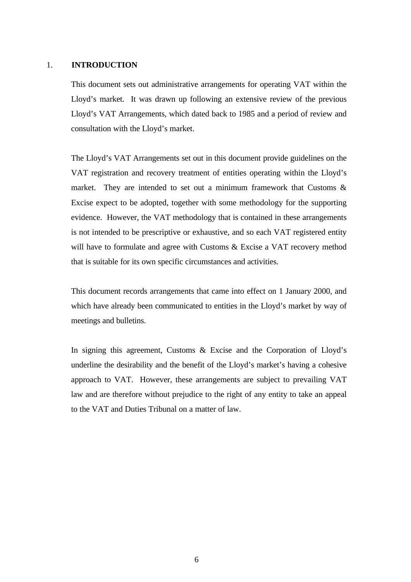#### 1. **INTRODUCTION**

This document sets out administrative arrangements for operating VAT within the Lloyd's market. It was drawn up following an extensive review of the previous Lloyd's VAT Arrangements, which dated back to 1985 and a period of review and consultation with the Lloyd's market.

The Lloyd's VAT Arrangements set out in this document provide guidelines on the VAT registration and recovery treatment of entities operating within the Lloyd's market. They are intended to set out a minimum framework that Customs  $\&$ Excise expect to be adopted, together with some methodology for the supporting evidence. However, the VAT methodology that is contained in these arrangements is not intended to be prescriptive or exhaustive, and so each VAT registered entity will have to formulate and agree with Customs & Excise a VAT recovery method that is suitable for its own specific circumstances and activities.

This document records arrangements that came into effect on 1 January 2000, and which have already been communicated to entities in the Lloyd's market by way of meetings and bulletins.

In signing this agreement, Customs & Excise and the Corporation of Lloyd's underline the desirability and the benefit of the Lloyd's market's having a cohesive approach to VAT. However, these arrangements are subject to prevailing VAT law and are therefore without prejudice to the right of any entity to take an appeal to the VAT and Duties Tribunal on a matter of law.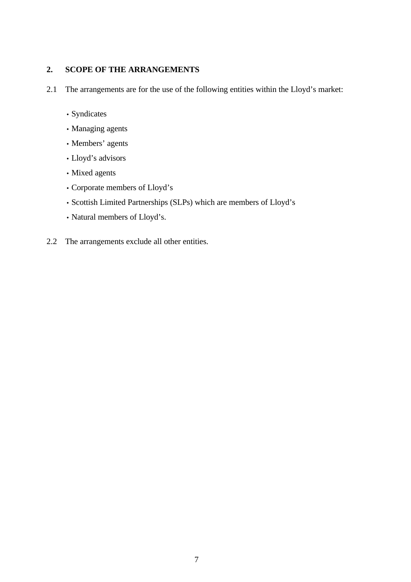# **2. SCOPE OF THE ARRANGEMENTS**

- 2.1 The arrangements are for the use of the following entities within the Lloyd's market:
	- Syndicates
	- Managing agents
	- Members' agents
	- Lloyd's advisors
	- Mixed agents
	- Corporate members of Lloyd's
	- Scottish Limited Partnerships (SLPs) which are members of Lloyd's
	- Natural members of Lloyd's.
- 2.2 The arrangements exclude all other entities.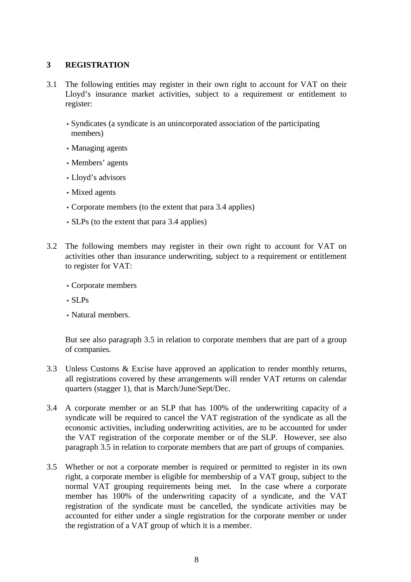# **3 REGISTRATION**

- 3.1 The following entities may register in their own right to account for VAT on their Lloyd's insurance market activities, subject to a requirement or entitlement to register:
	- Syndicates (a syndicate is an unincorporated association of the participating members)
	- Managing agents
	- Members' agents
	- Lloyd's advisors
	- Mixed agents
	- Corporate members (to the extent that para 3.4 applies)
	- SLPs (to the extent that para 3.4 applies)
- 3.2 The following members may register in their own right to account for VAT on activities other than insurance underwriting, subject to a requirement or entitlement to register for VAT:
	- Corporate members
	- SLPs
	- Natural members.

But see also paragraph 3.5 in relation to corporate members that are part of a group of companies.

- 3.3 Unless Customs & Excise have approved an application to render monthly returns, all registrations covered by these arrangements will render VAT returns on calendar quarters (stagger 1), that is March/June/Sept/Dec.
- 3.4 A corporate member or an SLP that has 100% of the underwriting capacity of a syndicate will be required to cancel the VAT registration of the syndicate as all the economic activities, including underwriting activities, are to be accounted for under the VAT registration of the corporate member or of the SLP. However, see also paragraph 3.5 in relation to corporate members that are part of groups of companies.
- 3.5 Whether or not a corporate member is required or permitted to register in its own right, a corporate member is eligible for membership of a VAT group, subject to the normal VAT grouping requirements being met. In the case where a corporate member has 100% of the underwriting capacity of a syndicate, and the VAT registration of the syndicate must be cancelled, the syndicate activities may be accounted for either under a single registration for the corporate member or under the registration of a VAT group of which it is a member.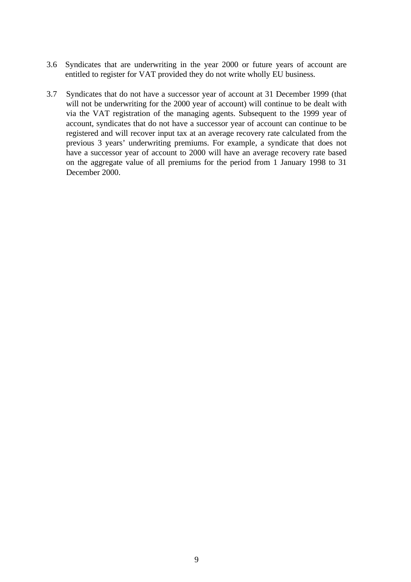- 3.6 Syndicates that are underwriting in the year 2000 or future years of account are entitled to register for VAT provided they do not write wholly EU business.
- 3.7 Syndicates that do not have a successor year of account at 31 December 1999 (that will not be underwriting for the 2000 year of account) will continue to be dealt with via the VAT registration of the managing agents. Subsequent to the 1999 year of account, syndicates that do not have a successor year of account can continue to be registered and will recover input tax at an average recovery rate calculated from the previous 3 years' underwriting premiums. For example, a syndicate that does not have a successor year of account to 2000 will have an average recovery rate based on the aggregate value of all premiums for the period from 1 January 1998 to 31 December 2000.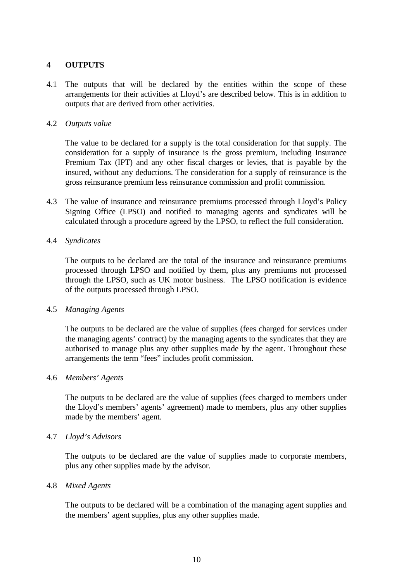# **4 OUTPUTS**

4.1 The outputs that will be declared by the entities within the scope of these arrangements for their activities at Lloyd's are described below. This is in addition to outputs that are derived from other activities.

#### 4.2 *Outputs value*

The value to be declared for a supply is the total consideration for that supply. The consideration for a supply of insurance is the gross premium, including Insurance Premium Tax (IPT) and any other fiscal charges or levies, that is payable by the insured, without any deductions. The consideration for a supply of reinsurance is the gross reinsurance premium less reinsurance commission and profit commission.

4.3 The value of insurance and reinsurance premiums processed through Lloyd's Policy Signing Office (LPSO) and notified to managing agents and syndicates will be calculated through a procedure agreed by the LPSO, to reflect the full consideration.

#### 4.4 *Syndicates*

The outputs to be declared are the total of the insurance and reinsurance premiums processed through LPSO and notified by them, plus any premiums not processed through the LPSO, such as UK motor business. The LPSO notification is evidence of the outputs processed through LPSO.

#### 4.5 *Managing Agents*

The outputs to be declared are the value of supplies (fees charged for services under the managing agents' contract) by the managing agents to the syndicates that they are authorised to manage plus any other supplies made by the agent. Throughout these arrangements the term "fees" includes profit commission.

#### 4.6 *Members' Agents*

The outputs to be declared are the value of supplies (fees charged to members under the Lloyd's members' agents' agreement) made to members, plus any other supplies made by the members' agent.

#### 4.7 *Lloyd's Advisors*

The outputs to be declared are the value of supplies made to corporate members, plus any other supplies made by the advisor.

#### 4.8 *Mixed Agents*

The outputs to be declared will be a combination of the managing agent supplies and the members' agent supplies, plus any other supplies made.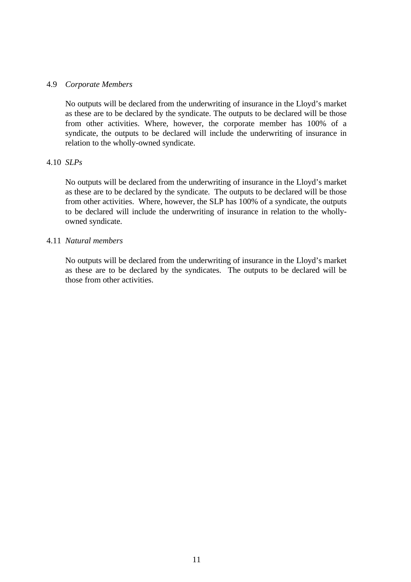## 4.9 *Corporate Members*

No outputs will be declared from the underwriting of insurance in the Lloyd's market as these are to be declared by the syndicate. The outputs to be declared will be those from other activities. Where, however, the corporate member has 100% of a syndicate, the outputs to be declared will include the underwriting of insurance in relation to the wholly-owned syndicate.

## 4.10 *SLPs*

No outputs will be declared from the underwriting of insurance in the Lloyd's market as these are to be declared by the syndicate. The outputs to be declared will be those from other activities. Where, however, the SLP has 100% of a syndicate, the outputs to be declared will include the underwriting of insurance in relation to the whollyowned syndicate.

#### 4.11 *Natural members*

No outputs will be declared from the underwriting of insurance in the Lloyd's market as these are to be declared by the syndicates. The outputs to be declared will be those from other activities.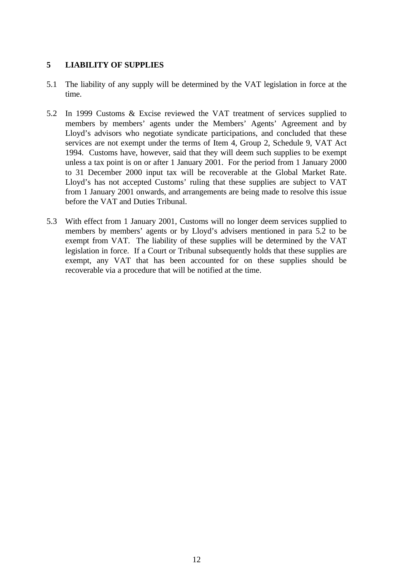# **5 LIABILITY OF SUPPLIES**

- 5.1 The liability of any supply will be determined by the VAT legislation in force at the time.
- 5.2 In 1999 Customs & Excise reviewed the VAT treatment of services supplied to members by members' agents under the Members' Agents' Agreement and by Lloyd's advisors who negotiate syndicate participations, and concluded that these services are not exempt under the terms of Item 4, Group 2, Schedule 9, VAT Act 1994. Customs have, however, said that they will deem such supplies to be exempt unless a tax point is on or after 1 January 2001. For the period from 1 January 2000 to 31 December 2000 input tax will be recoverable at the Global Market Rate. Lloyd's has not accepted Customs' ruling that these supplies are subject to VAT from 1 January 2001 onwards, and arrangements are being made to resolve this issue before the VAT and Duties Tribunal.
- 5.3 With effect from 1 January 2001, Customs will no longer deem services supplied to members by members' agents or by Lloyd's advisers mentioned in para 5.2 to be exempt from VAT. The liability of these supplies will be determined by the VAT legislation in force. If a Court or Tribunal subsequently holds that these supplies are exempt, any VAT that has been accounted for on these supplies should be recoverable via a procedure that will be notified at the time.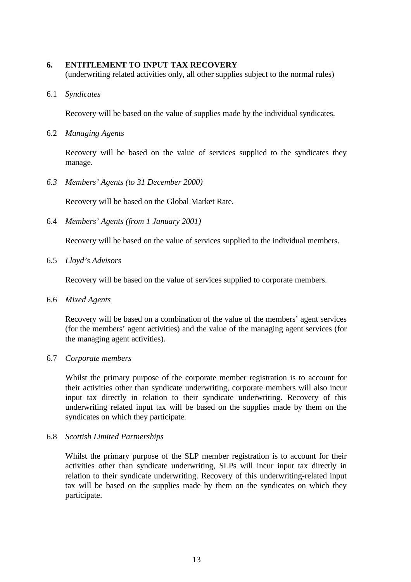## **6. ENTITLEMENT TO INPUT TAX RECOVERY**

(underwriting related activities only, all other supplies subject to the normal rules)

#### 6.1 *Syndicates*

Recovery will be based on the value of supplies made by the individual syndicates.

6.2 *Managing Agents*

Recovery will be based on the value of services supplied to the syndicates they manage.

*6.3 Members' Agents (to 31 December 2000)*

Recovery will be based on the Global Market Rate.

6.4 *Members' Agents (from 1 January 2001)*

Recovery will be based on the value of services supplied to the individual members.

6.5 *Lloyd's Advisors*

Recovery will be based on the value of services supplied to corporate members.

6.6 *Mixed Agents*

Recovery will be based on a combination of the value of the members' agent services (for the members' agent activities) and the value of the managing agent services (for the managing agent activities).

## 6.7 *Corporate members*

Whilst the primary purpose of the corporate member registration is to account for their activities other than syndicate underwriting, corporate members will also incur input tax directly in relation to their syndicate underwriting. Recovery of this underwriting related input tax will be based on the supplies made by them on the syndicates on which they participate.

## 6.8 *Scottish Limited Partnerships*

Whilst the primary purpose of the SLP member registration is to account for their activities other than syndicate underwriting, SLPs will incur input tax directly in relation to their syndicate underwriting. Recovery of this underwriting-related input tax will be based on the supplies made by them on the syndicates on which they participate.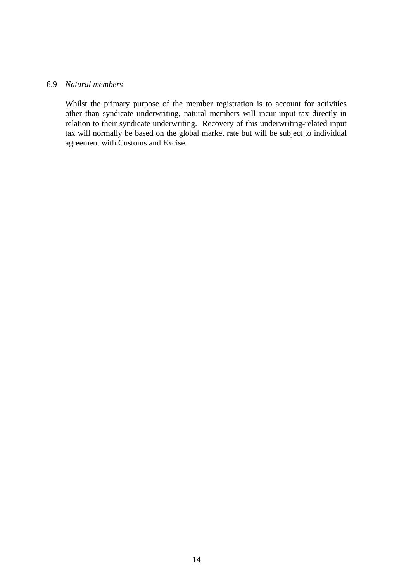#### 6.9 *Natural members*

Whilst the primary purpose of the member registration is to account for activities other than syndicate underwriting, natural members will incur input tax directly in relation to their syndicate underwriting. Recovery of this underwriting-related input tax will normally be based on the global market rate but will be subject to individual agreement with Customs and Excise.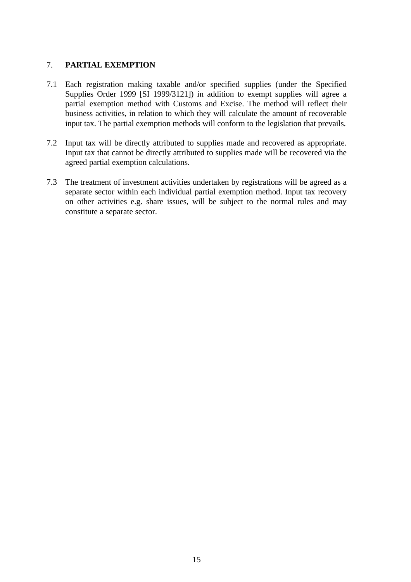# 7. **PARTIAL EXEMPTION**

- 7.1 Each registration making taxable and/or specified supplies (under the Specified Supplies Order 1999 [SI 1999/3121]) in addition to exempt supplies will agree a partial exemption method with Customs and Excise. The method will reflect their business activities, in relation to which they will calculate the amount of recoverable input tax. The partial exemption methods will conform to the legislation that prevails.
- 7.2 Input tax will be directly attributed to supplies made and recovered as appropriate. Input tax that cannot be directly attributed to supplies made will be recovered via the agreed partial exemption calculations.
- 7.3 The treatment of investment activities undertaken by registrations will be agreed as a separate sector within each individual partial exemption method. Input tax recovery on other activities e.g. share issues, will be subject to the normal rules and may constitute a separate sector.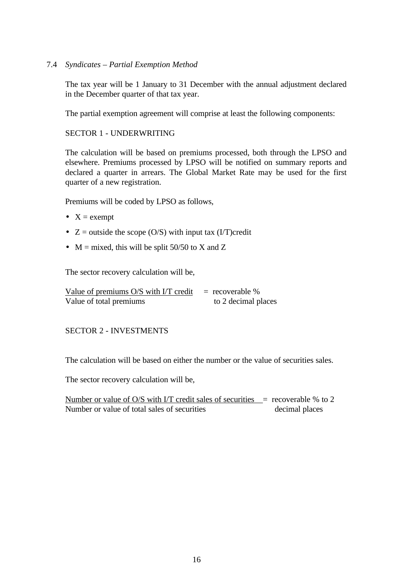## 7.4 *Syndicates – Partial Exemption Method*

The tax year will be 1 January to 31 December with the annual adjustment declared in the December quarter of that tax year.

The partial exemption agreement will comprise at least the following components:

## SECTOR 1 - UNDERWRITING

The calculation will be based on premiums processed, both through the LPSO and elsewhere. Premiums processed by LPSO will be notified on summary reports and declared a quarter in arrears. The Global Market Rate may be used for the first quarter of a new registration.

Premiums will be coded by LPSO as follows,

- $X =$  exempt
- $Z = \text{outside the scope (O/S)}$  with input tax (I/T)credit
- $M =$  mixed, this will be split 50/50 to X and Z

The sector recovery calculation will be,

| Value of premiums O/S with I/T credit | $=$ recoverable %   |
|---------------------------------------|---------------------|
| Value of total premiums               | to 2 decimal places |

# SECTOR 2 - INVESTMENTS

The calculation will be based on either the number or the value of securities sales.

The sector recovery calculation will be,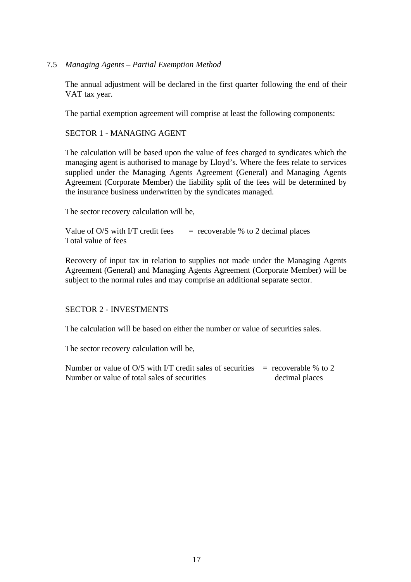## 7.5 *Managing Agents – Partial Exemption Method*

The annual adjustment will be declared in the first quarter following the end of their VAT tax year.

The partial exemption agreement will comprise at least the following components:

## SECTOR 1 - MANAGING AGENT

The calculation will be based upon the value of fees charged to syndicates which the managing agent is authorised to manage by Lloyd's. Where the fees relate to services supplied under the Managing Agents Agreement (General) and Managing Agents Agreement (Corporate Member) the liability split of the fees will be determined by the insurance business underwritten by the syndicates managed.

The sector recovery calculation will be,

Value of  $O/S$  with I/T credit fees  $=$  recoverable % to 2 decimal places Total value of fees

Recovery of input tax in relation to supplies not made under the Managing Agents Agreement (General) and Managing Agents Agreement (Corporate Member) will be subject to the normal rules and may comprise an additional separate sector.

## SECTOR 2 - INVESTMENTS

The calculation will be based on either the number or value of securities sales.

The sector recovery calculation will be,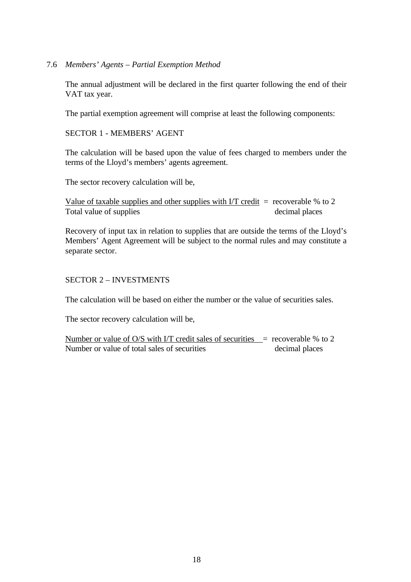## 7.6 *Members' Agents – Partial Exemption Method*

The annual adjustment will be declared in the first quarter following the end of their VAT tax year.

The partial exemption agreement will comprise at least the following components:

SECTOR 1 - MEMBERS' AGENT

The calculation will be based upon the value of fees charged to members under the terms of the Lloyd's members' agents agreement.

The sector recovery calculation will be,

Value of taxable supplies and other supplies with I/T credit  $=$  recoverable % to 2 Total value of supplies decimal places

Recovery of input tax in relation to supplies that are outside the terms of the Lloyd's Members' Agent Agreement will be subject to the normal rules and may constitute a separate sector.

## SECTOR 2 – INVESTMENTS

The calculation will be based on either the number or the value of securities sales.

The sector recovery calculation will be,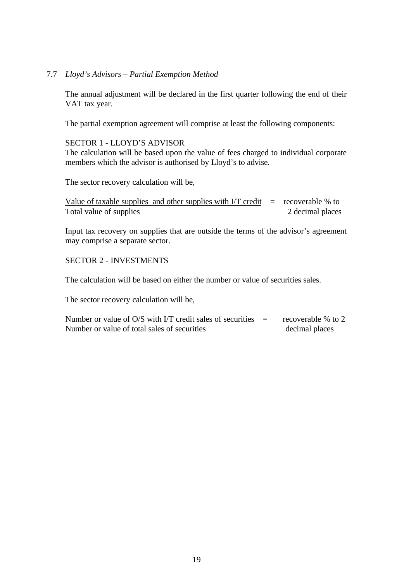## 7.7 *Lloyd's Advisors – Partial Exemption Method*

The annual adjustment will be declared in the first quarter following the end of their VAT tax year.

The partial exemption agreement will comprise at least the following components:

#### SECTOR 1 - LLOYD'S ADVISOR

The calculation will be based upon the value of fees charged to individual corporate members which the advisor is authorised by Lloyd's to advise.

The sector recovery calculation will be,

Value of taxable supplies and other supplies with I/T credit  $=$  recoverable % to Total value of supplies 2 decimal places

Input tax recovery on supplies that are outside the terms of the advisor's agreement may comprise a separate sector.

#### SECTOR 2 - INVESTMENTS

The calculation will be based on either the number or value of securities sales.

The sector recovery calculation will be,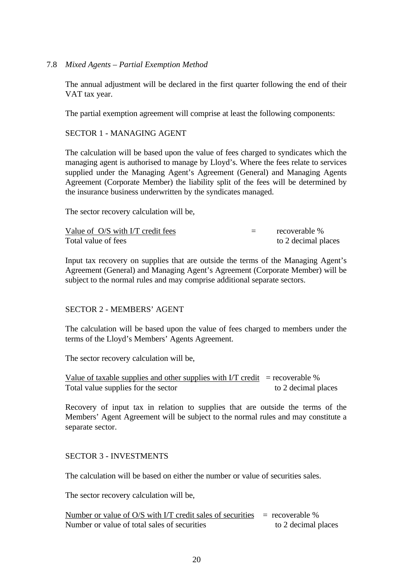## 7.8 *Mixed Agents – Partial Exemption Method*

The annual adjustment will be declared in the first quarter following the end of their VAT tax year.

The partial exemption agreement will comprise at least the following components:

#### SECTOR 1 - MANAGING AGENT

The calculation will be based upon the value of fees charged to syndicates which the managing agent is authorised to manage by Lloyd's. Where the fees relate to services supplied under the Managing Agent's Agreement (General) and Managing Agents Agreement (Corporate Member) the liability split of the fees will be determined by the insurance business underwritten by the syndicates managed.

The sector recovery calculation will be,

| Value of O/S with I/T credit fees | $=$ | recoverable %       |
|-----------------------------------|-----|---------------------|
| Total value of fees               |     | to 2 decimal places |

Input tax recovery on supplies that are outside the terms of the Managing Agent's Agreement (General) and Managing Agent's Agreement (Corporate Member) will be subject to the normal rules and may comprise additional separate sectors.

## SECTOR 2 - MEMBERS' AGENT

The calculation will be based upon the value of fees charged to members under the terms of the Lloyd's Members' Agents Agreement.

The sector recovery calculation will be,

Value of taxable supplies and other supplies with I/T credit  $=$  recoverable % Total value supplies for the sector to 2 decimal places

Recovery of input tax in relation to supplies that are outside the terms of the Members' Agent Agreement will be subject to the normal rules and may constitute a separate sector.

## SECTOR 3 - INVESTMENTS

The calculation will be based on either the number or value of securities sales.

The sector recovery calculation will be,

| Number or value of $O/S$ with I/T credit sales of securities = recoverable % |                     |
|------------------------------------------------------------------------------|---------------------|
| Number or value of total sales of securities                                 | to 2 decimal places |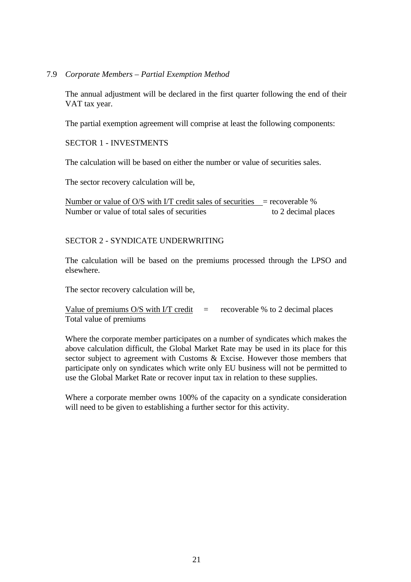7.9 *Corporate Members – Partial Exemption Method*

The annual adjustment will be declared in the first quarter following the end of their VAT tax year.

The partial exemption agreement will comprise at least the following components:

#### SECTOR 1 - INVESTMENTS

The calculation will be based on either the number or value of securities sales.

The sector recovery calculation will be,

Number or value of  $O/S$  with I/T credit sales of securities = recoverable % Number or value of total sales of securities to 2 decimal places

#### SECTOR 2 - SYNDICATE UNDERWRITING

The calculation will be based on the premiums processed through the LPSO and elsewhere.

The sector recovery calculation will be,

```
Value of premiums O/S with I/T credit = recoverable % to 2 decimal places
Total value of premiums
```
Where the corporate member participates on a number of syndicates which makes the above calculation difficult, the Global Market Rate may be used in its place for this sector subject to agreement with Customs & Excise. However those members that participate only on syndicates which write only EU business will not be permitted to use the Global Market Rate or recover input tax in relation to these supplies.

Where a corporate member owns 100% of the capacity on a syndicate consideration will need to be given to establishing a further sector for this activity.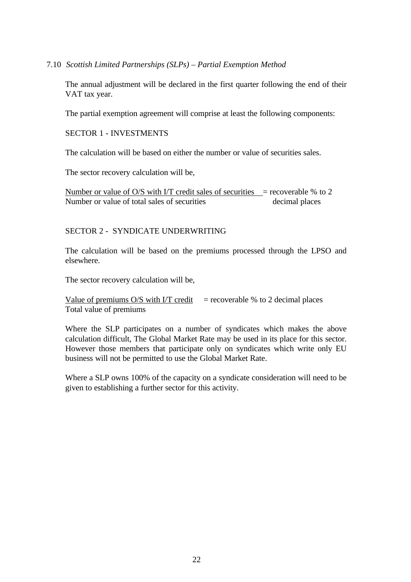#### 7.10 *Scottish Limited Partnerships (SLPs) – Partial Exemption Method*

The annual adjustment will be declared in the first quarter following the end of their VAT tax year.

The partial exemption agreement will comprise at least the following components:

SECTOR 1 - INVESTMENTS

The calculation will be based on either the number or value of securities sales.

The sector recovery calculation will be,

Number or value of O/S with I/T credit sales of securities  $=$  recoverable % to 2 Number or value of total sales of securities decimal places

## SECTOR 2 - SYNDICATE UNDERWRITING

The calculation will be based on the premiums processed through the LPSO and elsewhere.

The sector recovery calculation will be,

Value of premiums O/S with I/T credit  $=$  recoverable % to 2 decimal places Total value of premiums

Where the SLP participates on a number of syndicates which makes the above calculation difficult, The Global Market Rate may be used in its place for this sector. However those members that participate only on syndicates which write only EU business will not be permitted to use the Global Market Rate.

Where a SLP owns 100% of the capacity on a syndicate consideration will need to be given to establishing a further sector for this activity.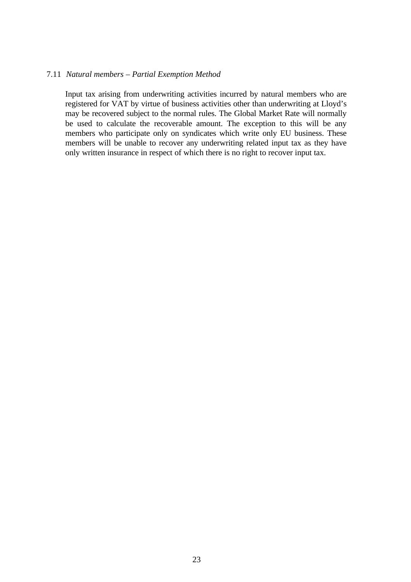#### 7.11 *Natural members – Partial Exemption Method*

Input tax arising from underwriting activities incurred by natural members who are registered for VAT by virtue of business activities other than underwriting at Lloyd's may be recovered subject to the normal rules. The Global Market Rate will normally be used to calculate the recoverable amount. The exception to this will be any members who participate only on syndicates which write only EU business. These members will be unable to recover any underwriting related input tax as they have only written insurance in respect of which there is no right to recover input tax.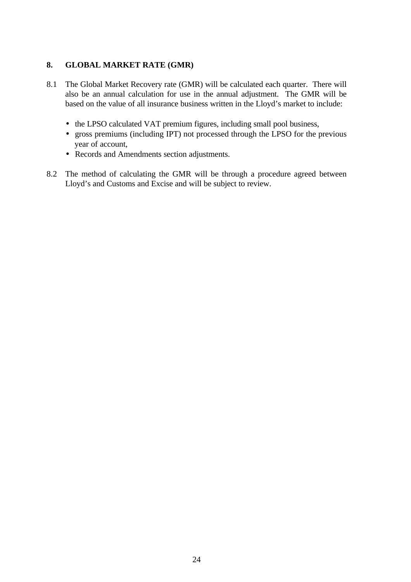# **8. GLOBAL MARKET RATE (GMR)**

- 8.1 The Global Market Recovery rate (GMR) will be calculated each quarter. There will also be an annual calculation for use in the annual adjustment. The GMR will be based on the value of all insurance business written in the Lloyd's market to include:
	- the LPSO calculated VAT premium figures, including small pool business,
	- gross premiums (including IPT) not processed through the LPSO for the previous year of account,
	- Records and Amendments section adjustments.
- 8.2 The method of calculating the GMR will be through a procedure agreed between Lloyd's and Customs and Excise and will be subject to review.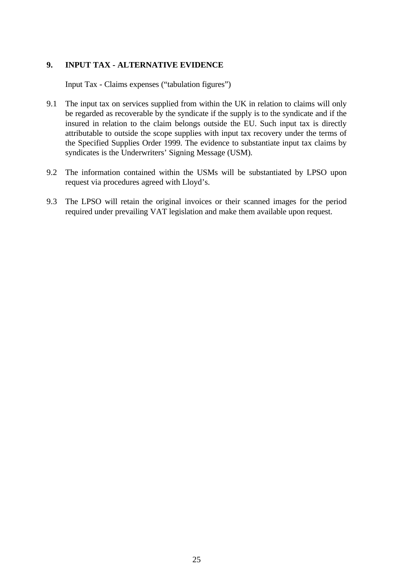# **9. INPUT TAX - ALTERNATIVE EVIDENCE**

Input Tax - Claims expenses ("tabulation figures")

- 9.1 The input tax on services supplied from within the UK in relation to claims will only be regarded as recoverable by the syndicate if the supply is to the syndicate and if the insured in relation to the claim belongs outside the EU. Such input tax is directly attributable to outside the scope supplies with input tax recovery under the terms of the Specified Supplies Order 1999. The evidence to substantiate input tax claims by syndicates is the Underwriters' Signing Message (USM).
- 9.2 The information contained within the USMs will be substantiated by LPSO upon request via procedures agreed with Lloyd's.
- 9.3 The LPSO will retain the original invoices or their scanned images for the period required under prevailing VAT legislation and make them available upon request.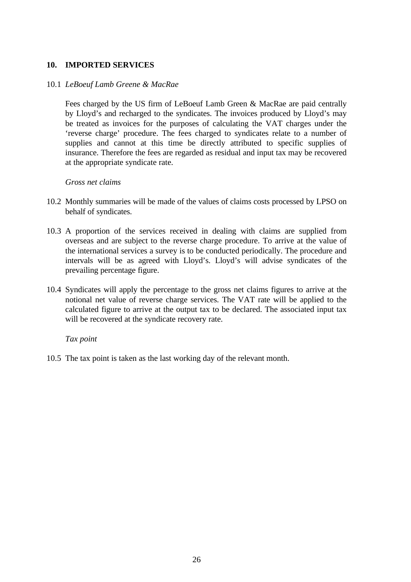# **10. IMPORTED SERVICES**

#### 10.1 *LeBoeuf Lamb Greene & MacRae*

Fees charged by the US firm of LeBoeuf Lamb Green & MacRae are paid centrally by Lloyd's and recharged to the syndicates. The invoices produced by Lloyd's may be treated as invoices for the purposes of calculating the VAT charges under the 'reverse charge' procedure. The fees charged to syndicates relate to a number of supplies and cannot at this time be directly attributed to specific supplies of insurance. Therefore the fees are regarded as residual and input tax may be recovered at the appropriate syndicate rate.

#### *Gross net claims*

- 10.2 Monthly summaries will be made of the values of claims costs processed by LPSO on behalf of syndicates.
- 10.3 A proportion of the services received in dealing with claims are supplied from overseas and are subject to the reverse charge procedure. To arrive at the value of the international services a survey is to be conducted periodically. The procedure and intervals will be as agreed with Lloyd's. Lloyd's will advise syndicates of the prevailing percentage figure.
- 10.4 Syndicates will apply the percentage to the gross net claims figures to arrive at the notional net value of reverse charge services. The VAT rate will be applied to the calculated figure to arrive at the output tax to be declared. The associated input tax will be recovered at the syndicate recovery rate.

*Tax point*

10.5 The tax point is taken as the last working day of the relevant month.